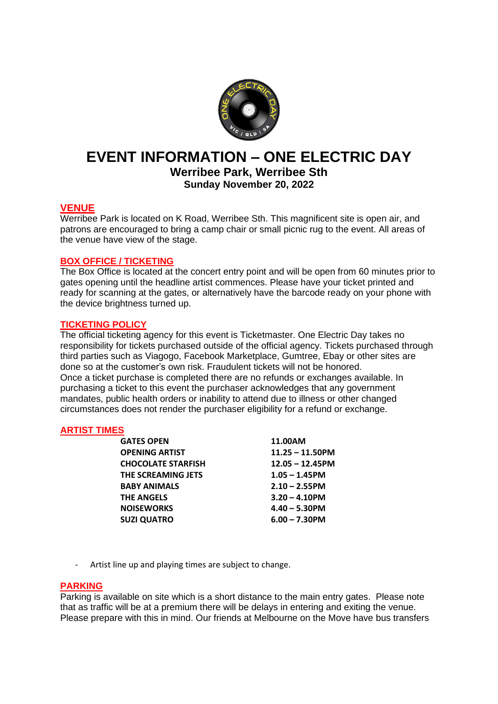

# **EVENT INFORMATION – ONE ELECTRIC DAY**

**Werribee Park, Werribee Sth Sunday November 20, 2022**

# **VENUE**

Werribee Park is located on K Road, Werribee Sth. This magnificent site is open air, and patrons are encouraged to bring a camp chair or small picnic rug to the event. All areas of the venue have view of the stage.

# **BOX OFFICE / TICKETING**

The Box Office is located at the concert entry point and will be open from 60 minutes prior to gates opening until the headline artist commences. Please have your ticket printed and ready for scanning at the gates, or alternatively have the barcode ready on your phone with the device brightness turned up.

# **TICKETING POLICY**

The official ticketing agency for this event is Ticketmaster. One Electric Day takes no responsibility for tickets purchased outside of the official agency. Tickets purchased through third parties such as Viagogo, Facebook Marketplace, Gumtree, Ebay or other sites are done so at the customer's own risk. Fraudulent tickets will not be honored. Once a ticket purchase is completed there are no refunds or exchanges available. In purchasing a ticket to this event the purchaser acknowledges that any government mandates, public health orders or inability to attend due to illness or other changed circumstances does not render the purchaser eligibility for a refund or exchange.

## **ARTIST TIMES**

| <b>GATES OPEN</b>         | 11.00AM            |  |
|---------------------------|--------------------|--|
| <b>OPENING ARTIST</b>     | $11.25 - 11.50$ PM |  |
| <b>CHOCOLATE STARFISH</b> | $12.05 - 12.45$ PM |  |
| THE SCREAMING JETS        | $1.05 - 1.45$ PM   |  |
| <b>BABY ANIMALS</b>       | $2.10 - 2.55$ PM   |  |
| THE ANGELS                | $3.20 - 4.10$ PM   |  |
| <b>NOISEWORKS</b>         | $4.40 - 5.30$ PM   |  |
| <b>SUZI QUATRO</b>        | $6.00 - 7.30$ PM   |  |
|                           |                    |  |

- Artist line up and playing times are subject to change.

## **PARKING**

Parking is available on site which is a short distance to the main entry gates. Please note that as traffic will be at a premium there will be delays in entering and exiting the venue. Please prepare with this in mind. Our friends at Melbourne on the Move have bus transfers